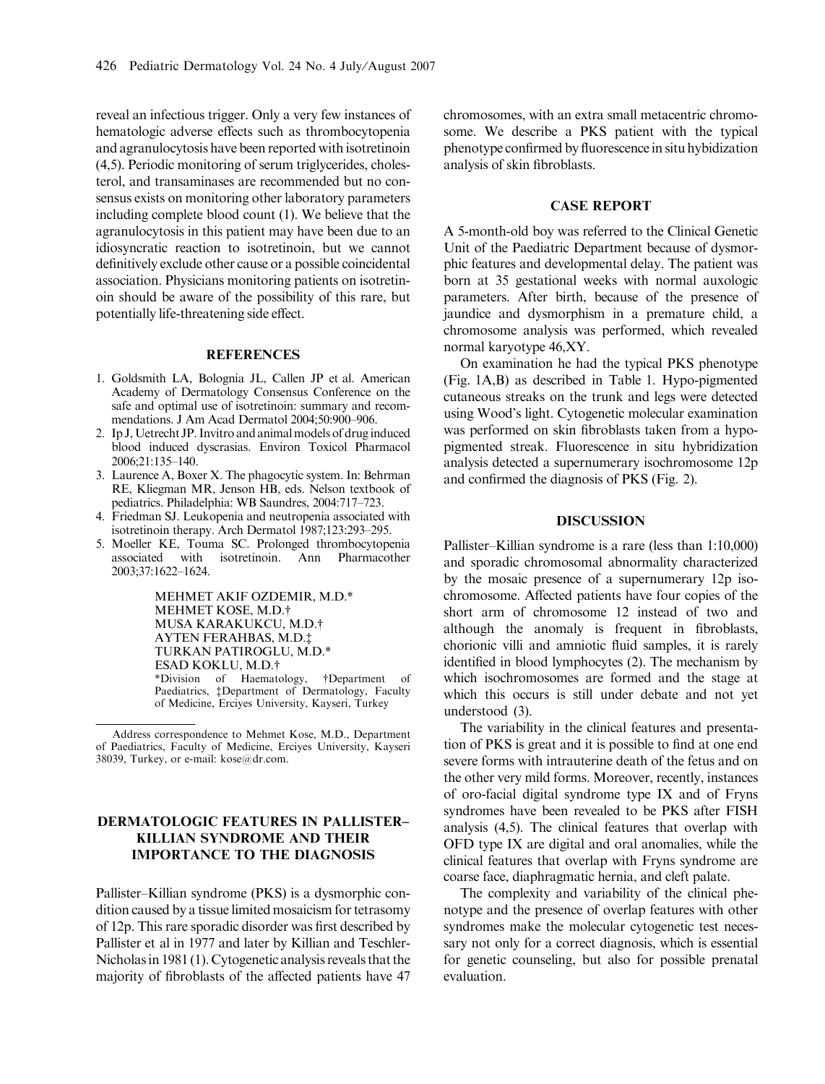reveal an infectious trigger. Only a very few instances of hematologic adverse effects such as thrombocytopenia and agranulocytosis have been reported with isotretinoin (4,5). Periodic monitoring of serum triglycerides, cholesterol, and transaminases are recommended but no consensus exists on monitoring other laboratory parameters including complete blood count (1). We believe that the agranulocytosis in this patient may have been due to an idiosyncratic reaction to isotretinoin, but we cannot definitively exclude other cause or a possible coincidental association. Physicians monitoring patients on isotretinoin should be aware of the possibility of this rare, but potentially life-threatening side effect.

#### **REFERENCES**

- 1. Goldsmith LA, Bolognia JL, Callen JP et al. American Academy of Dermatology Consensus Conference on the safe and optimal use of isotretinoin: summary and recommendations. J Am Acad Dermatol 2004;50:900–906.
- 2. Ip J, Uetrecht JP. Invitro and animal models of drug induced blood induced dyscrasias. Environ Toxicol Pharmacol 2006;21:135–140.
- 3. Laurence A, Boxer X. The phagocytic system. In: Behrman RE, Kliegman MR, Jenson HB, eds. Nelson textbook of pediatrics. Philadelphia: WB Saundres, 2004:717–723.
- 4. Friedman SJ. Leukopenia and neutropenia associated with isotretinoin therapy. Arch Dermatol 1987;123:293–295.
- 5. Moeller KE, Touma SC. Prolonged thrombocytopenia associated with isotretinoin. Ann Pharmacother 2003;37:1622–1624.

MEHMET AKIF OZDEMIR, M.D.\* MEHMET KOSE, M.D.† MUSA KARAKUKCU, M.D.† AYTEN FERAHBAS, M.D. TURKAN PATIROGLU, M.D.\* ESAD KOKLU, M.D.- \*Division of Haematology, †Department of Paediatrics, <sup>†</sup>Department of Dermatology, Faculty of Medicine, Erciyes University, Kayseri, Turkey

# DERMATOLOGIC FEATURES IN PALLISTER– KILLIAN SYNDROME AND THEIR IMPORTANCE TO THE DIAGNOSIS

Pallister–Killian syndrome (PKS) is a dysmorphic condition caused by a tissue limited mosaicism for tetrasomy of 12p. This rare sporadic disorder was first described by Pallister et al in 1977 and later by Killian and Teschler-Nicholas in 1981 (1). Cytogenetic analysis reveals that the majority of fibroblasts of the affected patients have 47 chromosomes, with an extra small metacentric chromosome. We describe a PKS patient with the typical phenotype confirmed by fluorescence in situ hybidization analysis of skin fibroblasts.

#### CASE REPORT

A 5-month-old boy was referred to the Clinical Genetic Unit of the Paediatric Department because of dysmorphic features and developmental delay. The patient was born at 35 gestational weeks with normal auxologic parameters. After birth, because of the presence of jaundice and dysmorphism in a premature child, a chromosome analysis was performed, which revealed normal karyotype 46,XY.

On examination he had the typical PKS phenotype (Fig. 1A,B) as described in Table 1. Hypo-pigmented cutaneous streaks on the trunk and legs were detected using Wood's light. Cytogenetic molecular examination was performed on skin fibroblasts taken from a hypopigmented streak. Fluorescence in situ hybridization analysis detected a supernumerary isochromosome 12p and confirmed the diagnosis of PKS (Fig. 2).

### DISCUSSION

Pallister–Killian syndrome is a rare (less than 1:10,000) and sporadic chromosomal abnormality characterized by the mosaic presence of a supernumerary 12p isochromosome. Affected patients have four copies of the short arm of chromosome 12 instead of two and although the anomaly is frequent in fibroblasts, chorionic villi and amniotic fluid samples, it is rarely identified in blood lymphocytes (2). The mechanism by which isochromosomes are formed and the stage at which this occurs is still under debate and not yet understood (3).

The variability in the clinical features and presentation of PKS is great and it is possible to find at one end severe forms with intrauterine death of the fetus and on the other very mild forms. Moreover, recently, instances of oro-facial digital syndrome type IX and of Fryns syndromes have been revealed to be PKS after FISH analysis (4,5). The clinical features that overlap with OFD type IX are digital and oral anomalies, while the clinical features that overlap with Fryns syndrome are coarse face, diaphragmatic hernia, and cleft palate.

The complexity and variability of the clinical phenotype and the presence of overlap features with other syndromes make the molecular cytogenetic test necessary not only for a correct diagnosis, which is essential for genetic counseling, but also for possible prenatal evaluation.

Address correspondence to Mehmet Kose, M.D., Department of Paediatrics, Faculty of Medicine, Erciyes University, Kayseri 38039, Turkey, or e-mail: kose@dr.com.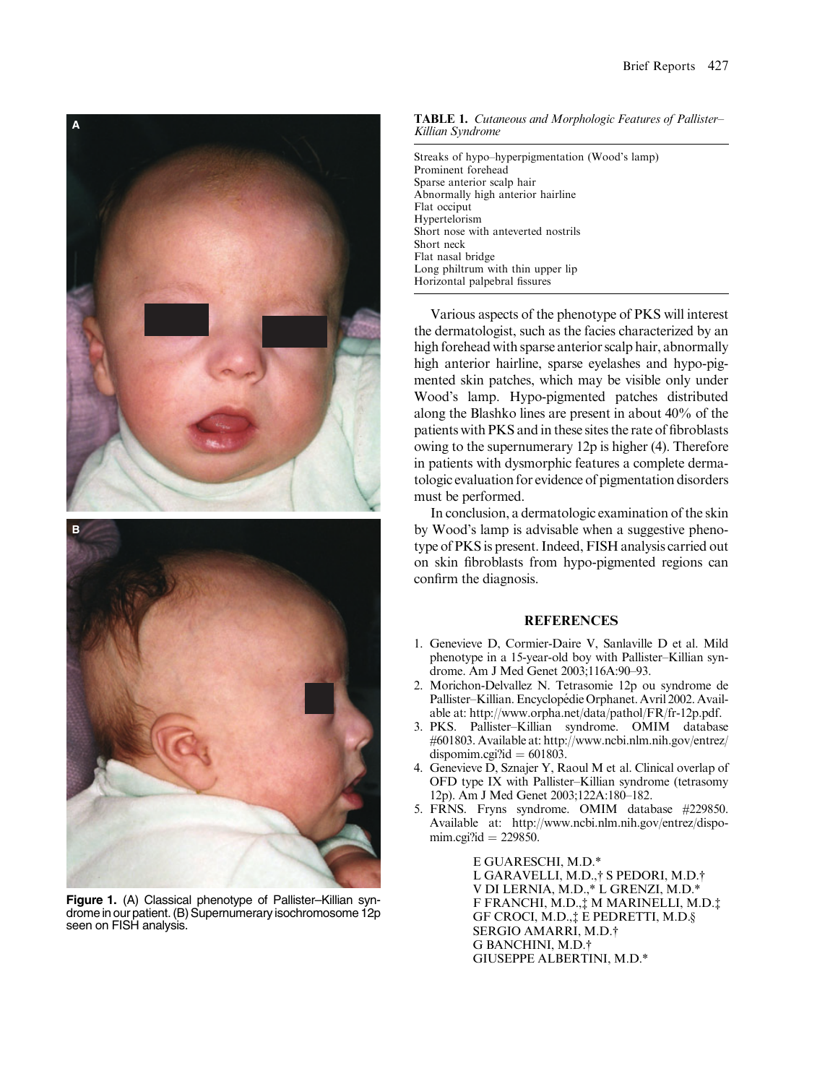

Figure 1. (A) Classical phenotype of Pallister–Killian syndrome in our patient.(B) Supernumeraryisochromosome 12p seen on FISH analysis.

TABLE 1. Cutaneous and Morphologic Features of Pallister– Killian Syndrome

Streaks of hypo–hyperpigmentation (Wood's lamp) Prominent forehead Sparse anterior scalp hair Abnormally high anterior hairline Flat occiput Hypertelorism Short nose with anteverted nostrils Short neck Flat nasal bridge Long philtrum with thin upper lip Horizontal palpebral fissures

Various aspects of the phenotype of PKS will interest the dermatologist, such as the facies characterized by an high forehead with sparse anterior scalp hair, abnormally high anterior hairline, sparse eyelashes and hypo-pigmented skin patches, which may be visible only under Wood's lamp. Hypo-pigmented patches distributed along the Blashko lines are present in about 40% of the patients with PKS and in these sites the rate of fibroblasts owing to the supernumerary 12p is higher (4). Therefore in patients with dysmorphic features a complete dermatologic evaluation for evidence of pigmentation disorders must be performed.

In conclusion, a dermatologic examination of the skin by Wood's lamp is advisable when a suggestive phenotype of PKS is present. Indeed, FISH analysis carried out on skin fibroblasts from hypo-pigmented regions can confirm the diagnosis.

### **REFERENCES**

- 1. Genevieve D, Cormier-Daire V, Sanlaville D et al. Mild phenotype in a 15-year-old boy with Pallister–Killian syndrome. Am J Med Genet 2003;116A:90–93.
- 2. Morichon-Delvallez N. Tetrasomie 12p ou syndrome de Pallister–Killian. Encyclopédie Orphanet. Avril 2002. Available at: http://www.orpha.net/data/pathol/FR/fr-12p.pdf.
- 3. PKS. Pallister–Killian syndrome. OMIM database #601803. Available at: http://www.ncbi.nlm.nih.gov/entrez/ dispomim.cgi?id  $= 601803$ .
- 4. Genevieve D, Sznajer Y, Raoul M et al. Clinical overlap of OFD type IX with Pallister–Killian syndrome (tetrasomy 12p). Am J Med Genet 2003;122A:180–182.
- 5. FRNS. Fryns syndrome. OMIM database #229850. Available at: http://www.ncbi.nlm.nih.gov/entrez/dispomim.cgi?id  $= 229850$ .

E GUARESCHI, M.D.\* L GARAVELLI, M.D.,† S PEDORI, M.D.† V DI LERNIA, M.D.,\* L GRENZI, M.D.\* F FRANCHI, M.D., MMARINELLI, M.D. GF CROCI, M.D., $\ddagger$  E PEDRETTI, M.D.§ SERGIO AMARRI, M.D.† G BANCHINI, M.D.<sup>+</sup> GIUSEPPE ALBERTINI, M.D.\*